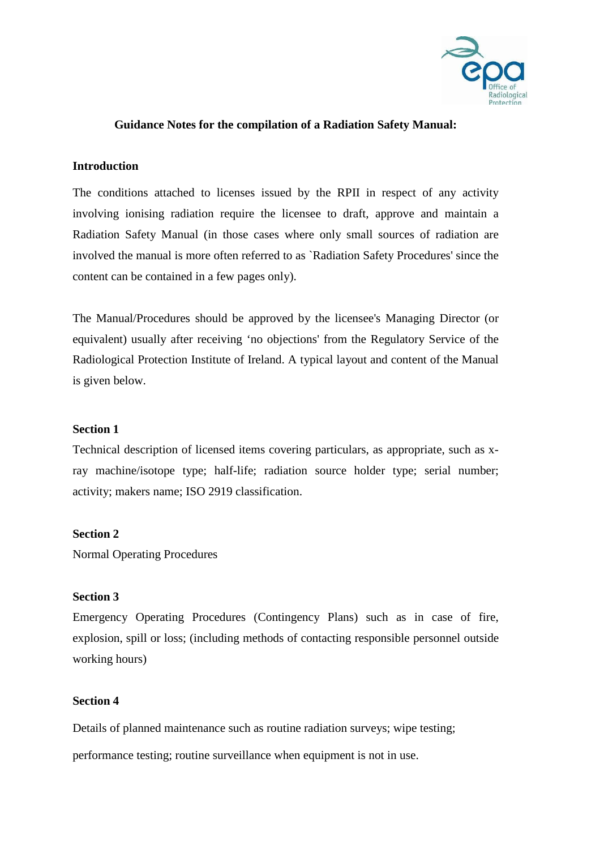

## **Guidance Notes for the compilation of a Radiation Safety Manual:**

### **Introduction**

The conditions attached to licenses issued by the RPII in respect of any activity involving ionising radiation require the licensee to draft, approve and maintain a Radiation Safety Manual (in those cases where only small sources of radiation are involved the manual is more often referred to as `Radiation Safety Procedures' since the content can be contained in a few pages only).

The Manual/Procedures should be approved by the licensee's Managing Director (or equivalent) usually after receiving 'no objections' from the Regulatory Service of the Radiological Protection Institute of Ireland. A typical layout and content of the Manual is given below.

### **Section 1**

Technical description of licensed items covering particulars, as appropriate, such as xray machine/isotope type; half-life; radiation source holder type; serial number; activity; makers name; ISO 2919 classification.

#### **Section 2**

Normal Operating Procedures

# **Section 3**

Emergency Operating Procedures (Contingency Plans) such as in case of fire, explosion, spill or loss; (including methods of contacting responsible personnel outside working hours)

## **Section 4**

Details of planned maintenance such as routine radiation surveys; wipe testing;

performance testing; routine surveillance when equipment is not in use.